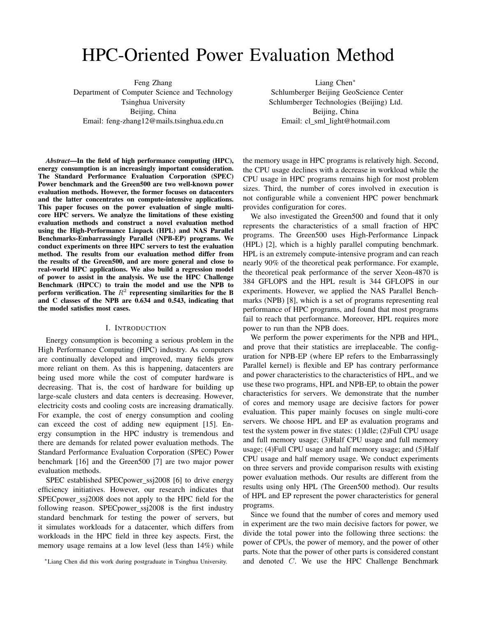# HPC-Oriented Power Evaluation Method

Feng Zhang Department of Computer Science and Technology Tsinghua University Beijing, China Email: feng-zhang12@mails.tsinghua.edu.cn

*Abstract*—In the field of high performance computing (HPC), energy consumption is an increasingly important consideration. The Standard Performance Evaluation Corporation (SPEC) Power benchmark and the Green500 are two well-known power evaluation methods. However, the former focuses on datacenters and the latter concentrates on compute-intensive applications. This paper focuses on the power evaluation of single multicore HPC servers. We analyze the limitations of these existing evaluation methods and construct a novel evaluation method using the High-Performance Linpack (HPL) and NAS Parallel Benchmarks-Embarrassingly Parallel (NPB-EP) programs. We conduct experiments on three HPC servers to test the evaluation method. The results from our evaluation method differ from the results of the Green500, and are more general and close to real-world HPC applications. We also build a regression model of power to assist in the analysis. We use the HPC Challenge Benchmark (HPCC) to train the model and use the NPB to perform verification. The  $R^2$  representing similarities for the B and C classes of the NPB are 0.634 and 0.543, indicating that the model satisfies most cases.

#### I. INTRODUCTION

Energy consumption is becoming a serious problem in the High Performance Computing (HPC) industry. As computers are continually developed and improved, many fields grow more reliant on them. As this is happening, datacenters are being used more while the cost of computer hardware is decreasing. That is, the cost of hardware for building up large-scale clusters and data centers is decreasing. However, electricity costs and cooling costs are increasing dramatically. For example, the cost of energy consumption and cooling can exceed the cost of adding new equipment [15]. Energy consumption in the HPC industry is tremendous and there are demands for related power evaluation methods. The Standard Performance Evaluation Corporation (SPEC) Power benchmark [16] and the Green500 [7] are two major power evaluation methods.

SPEC established SPECpower\_ssj2008 [6] to drive energy efficiency initiatives. However, our research indicates that SPEC power\_ssj2008 does not apply to the HPC field for the following reason. SPEC power\_ssj2008 is the first industry standard benchmark for testing the power of servers, but it simulates workloads for a datacenter, which differs from workloads in the HPC field in three key aspects. First, the memory usage remains at a low level (less than 14%) while

Liang Chen<sup>∗</sup> Schlumberger Beijing GeoScience Center Schlumberger Technologies (Beijing) Ltd. Beijing, China Email: cl\_sml\_light@hotmail.com

the memory usage in HPC programs is relatively high. Second, the CPU usage declines with a decrease in workload while the CPU usage in HPC programs remains high for most problem sizes. Third, the number of cores involved in execution is not configurable while a convenient HPC power benchmark provides configuration for cores.

We also investigated the Green500 and found that it only represents the characteristics of a small fraction of HPC programs. The Green500 uses High-Performance Linpack (HPL) [2], which is a highly parallel computing benchmark. HPL is an extremely compute-intensive program and can reach nearly 90% of the theoretical peak performance. For example, the theoretical peak performance of the server Xeon-4870 is 384 GFLOPS and the HPL result is 344 GFLOPS in our experiments. However, we applied the NAS Parallel Benchmarks (NPB) [8], which is a set of programs representing real performance of HPC programs, and found that most programs fail to reach that performance. Moreover, HPL requires more power to run than the NPB does.

We perform the power experiments for the NPB and HPL, and prove that their statistics are irreplaceable. The configuration for NPB-EP (where EP refers to the Embarrassingly Parallel kernel) is flexible and EP has contrary performance and power characteristics to the characteristics of HPL, and we use these two programs, HPL and NPB-EP, to obtain the power characteristics for servers. We demonstrate that the number of cores and memory usage are decisive factors for power evaluation. This paper mainly focuses on single multi-core servers. We choose HPL and EP as evaluation programs and test the system power in five states: (1)Idle; (2)Full CPU usage and full memory usage; (3)Half CPU usage and full memory usage; (4)Full CPU usage and half memory usage; and (5)Half CPU usage and half memory usage. We conduct experiments on three servers and provide comparison results with existing power evaluation methods. Our results are different from the results using only HPL (The Green500 method). Our results of HPL and EP represent the power characteristics for general programs.

Since we found that the number of cores and memory used in experiment are the two main decisive factors for power, we divide the total power into the following three sections: the power of CPUs, the power of memory, and the power of other parts. Note that the power of other parts is considered constant and denoted C. We use the HPC Challenge Benchmark

<sup>∗</sup>Liang Chen did this work during postgraduate in Tsinghua University.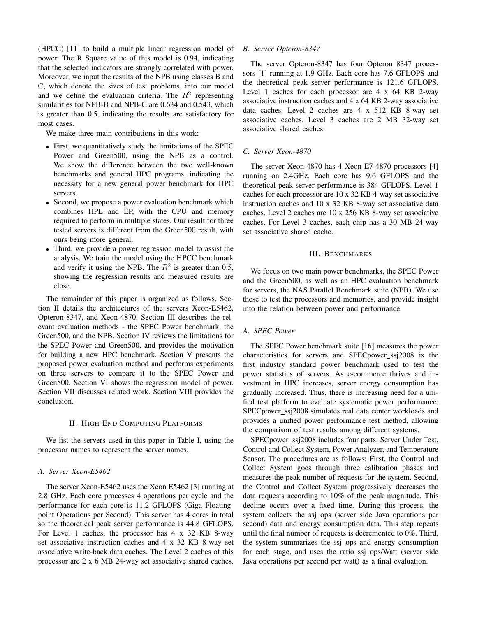(HPCC) [11] to build a multiple linear regression model of power. The R Square value of this model is 0.94, indicating that the selected indicators are strongly correlated with power. Moreover, we input the results of the NPB using classes B and C, which denote the sizes of test problems, into our model and we define the evaluation criteria. The  $R^2$  representing similarities for NPB-B and NPB-C are 0.634 and 0.543, which is greater than 0.5, indicating the results are satisfactory for most cases.

We make three main contributions in this work:

- First, we quantitatively study the limitations of the SPEC Power and Green500, using the NPB as a control. We show the difference between the two well-known benchmarks and general HPC programs, indicating the necessity for a new general power benchmark for HPC servers.
- Second, we propose a power evaluation benchmark which combines HPL and EP, with the CPU and memory required to perform in multiple states. Our result for three tested servers is different from the Green500 result, with ours being more general.
- Third, we provide a power regression model to assist the analysis. We train the model using the HPCC benchmark and verify it using the NPB. The  $R^2$  is greater than 0.5, showing the regression results and measured results are close.

The remainder of this paper is organized as follows. Section II details the architectures of the servers Xeon-E5462, Opteron-8347, and Xeon-4870. Section III describes the relevant evaluation methods - the SPEC Power benchmark, the Green500, and the NPB. Section IV reviews the limitations for the SPEC Power and Green500, and provides the motivation for building a new HPC benchmark. Section V presents the proposed power evaluation method and performs experiments on three servers to compare it to the SPEC Power and Green500. Section VI shows the regression model of power. Section VII discusses related work. Section VIII provides the conclusion.

# II. HIGH-END COMPUTING PLATFORMS

We list the servers used in this paper in Table I, using the processor names to represent the server names.

#### *A. Server Xeon-E5462*

The server Xeon-E5462 uses the Xeon E5462 [3] running at 2.8 GHz. Each core processes 4 operations per cycle and the performance for each core is 11.2 GFLOPS (Giga Floatingpoint Operations per Second). This server has 4 cores in total so the theoretical peak server performance is 44.8 GFLOPS. For Level 1 caches, the processor has 4 x 32 KB 8-way set associative instruction caches and 4 x 32 KB 8-way set associative write-back data caches. The Level 2 caches of this processor are 2 x 6 MB 24-way set associative shared caches.

#### *B. Server Opteron-8347*

The server Opteron-8347 has four Opteron 8347 processors [1] running at 1.9 GHz. Each core has 7.6 GFLOPS and the theoretical peak server performance is 121.6 GFLOPS. Level 1 caches for each processor are  $4 \times 64$  KB 2-way associative instruction caches and 4 x 64 KB 2-way associative data caches. Level 2 caches are 4 x 512 KB 8-way set associative caches. Level 3 caches are 2 MB 32-way set associative shared caches.

# *C. Server Xeon-4870*

The server Xeon-4870 has 4 Xeon E7-4870 processors [4] running on 2.4GHz. Each core has 9.6 GFLOPS and the theoretical peak server performance is 384 GFLOPS. Level 1 caches for each processor are 10 x 32 KB 4-way set associative instruction caches and 10 x 32 KB 8-way set associative data caches. Level 2 caches are 10 x 256 KB 8-way set associative caches. For Level 3 caches, each chip has a 30 MB 24-way set associative shared cache.

# III. BENCHMARKS

We focus on two main power benchmarks, the SPEC Power and the Green500, as well as an HPC evaluation benchmark for servers, the NAS Parallel Benchmark suite (NPB). We use these to test the processors and memories, and provide insight into the relation between power and performance.

# *A. SPEC Power*

The SPEC Power benchmark suite [16] measures the power characteristics for servers and SPECpower ssj2008 is the first industry standard power benchmark used to test the power statistics of servers. As e-commerce thrives and investment in HPC increases, server energy consumption has gradually increased. Thus, there is increasing need for a unified test platform to evaluate systematic power performance. SPECpower\_ssj2008 simulates real data center workloads and provides a unified power performance test method, allowing the comparison of test results among different systems.

SPECpower ssj2008 includes four parts: Server Under Test, Control and Collect System, Power Analyzer, and Temperature Sensor. The procedures are as follows: First, the Control and Collect System goes through three calibration phases and measures the peak number of requests for the system. Second, the Control and Collect System progressively decreases the data requests according to 10% of the peak magnitude. This decline occurs over a fixed time. During this process, the system collects the ssj\_ops (server side Java operations per second) data and energy consumption data. This step repeats until the final number of requests is decremented to 0%. Third, the system summarizes the ssj ops and energy consumption for each stage, and uses the ratio ssj\_ops/Watt (server side Java operations per second per watt) as a final evaluation.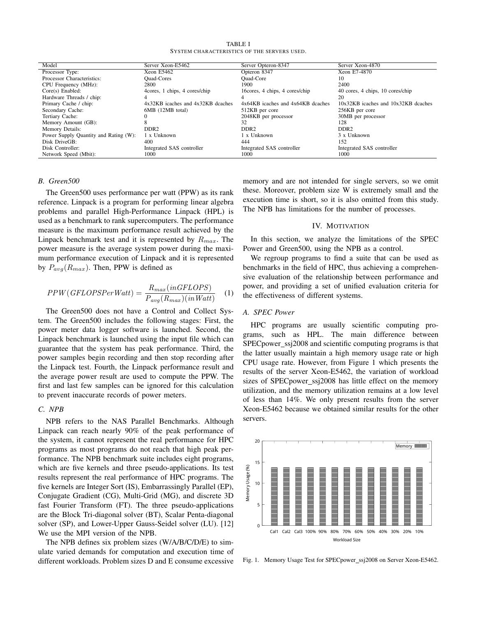TABLE I SYSTEM CHARACTERISTICS OF THE SERVERS USED.

| Model                                 | Server Xeon-E5462                 | Server Opteron-8347               | Server Xeon-4870                    |
|---------------------------------------|-----------------------------------|-----------------------------------|-------------------------------------|
| Processor Type:                       | Xeon E5462                        | Opteron 8347                      | Xeon E7-4870                        |
| Processor Characteristics:            | <b>Ouad-Cores</b>                 | Ouad-Core                         | 10                                  |
| CPU Frequency (MHz):                  | 2800                              | 1900                              | 2400                                |
| $Core(s)$ Enabled:                    | 4cores, 1 chips, 4 cores/chip     | 16 cores, 4 chips, 4 cores/chip   | 40 cores, 4 chips, 10 cores/chip    |
| Hardware Threads / chip:              |                                   | 4                                 | 20                                  |
| Primary Cache / chip:                 | 4x32KB icaches and 4x32KB dcaches | 4x64KB icaches and 4x64KB dcaches | 10x32KB icaches and 10x32KB dcaches |
| Secondary Cache:                      | 6MB (12MB total)                  | 512KB per core                    | 256KB per core                      |
| Tertiary Cache:                       |                                   | 2048KB per processor              | 30MB per processor                  |
| Memory Amount (GB):                   |                                   | 32                                | 128                                 |
| Memory Details:                       | DDR <sub>2</sub>                  | DDR <sub>2</sub>                  | DDR <sub>2</sub>                    |
| Power Supply Quantity and Rating (W): | 1 x Unknown                       | 1 x Unknown                       | 3 x Unknown                         |
| Disk DriveGB:                         | 400                               | 444                               | 152                                 |
| Disk Controller:                      | Integrated SAS controller         | Integrated SAS controller         | Integrated SAS controller           |
| Network Speed (Mbit):                 | 1000                              | 1000                              | 1000                                |

# *B. Green500*

The Green500 uses performance per watt (PPW) as its rank reference. Linpack is a program for performing linear algebra problems and parallel High-Performance Linpack (HPL) is used as a benchmark to rank supercomputers. The performance measure is the maximum performance result achieved by the Linpack benchmark test and it is represented by  $R_{max}$ . The power measure is the average system power during the maximum performance execution of Linpack and it is represented by  $P_{avg}(R_{max})$ . Then, PPW is defined as

$$
PPW(GFLOPSPerWatt) = \frac{R_{max}(inGFLOPS)}{P_{avg}(R_{max})(inWatt)} \quad (1)
$$

The Green500 does not have a Control and Collect System. The Green500 includes the following stages: First, the power meter data logger software is launched. Second, the Linpack benchmark is launched using the input file which can guarantee that the system has peak performance. Third, the power samples begin recording and then stop recording after the Linpack test. Fourth, the Linpack performance result and the average power result are used to compute the PPW. The first and last few samples can be ignored for this calculation to prevent inaccurate records of power meters.

# *C. NPB*

NPB refers to the NAS Parallel Benchmarks. Although Linpack can reach nearly 90% of the peak performance of the system, it cannot represent the real performance for HPC programs as most programs do not reach that high peak performance. The NPB benchmark suite includes eight programs, which are five kernels and three pseudo-applications. Its test results represent the real performance of HPC programs. The five kernels are Integer Sort (IS), Embarrassingly Parallel (EP), Conjugate Gradient (CG), Multi-Grid (MG), and discrete 3D fast Fourier Transform (FT). The three pseudo-applications are the Block Tri-diagonal solver (BT), Scalar Penta-diagonal solver (SP), and Lower-Upper Gauss-Seidel solver (LU). [12] We use the MPI version of the NPB.

The NPB defines six problem sizes (W/A/B/C/D/E) to simulate varied demands for computation and execution time of different workloads. Problem sizes D and E consume excessive memory and are not intended for single servers, so we omit these. Moreover, problem size W is extremely small and the execution time is short, so it is also omitted from this study. The NPB has limitations for the number of processes.

# IV. MOTIVATION

In this section, we analyze the limitations of the SPEC Power and Green500, using the NPB as a control.

We regroup programs to find a suite that can be used as benchmarks in the field of HPC, thus achieving a comprehensive evaluation of the relationship between performance and power, and providing a set of unified evaluation criteria for the effectiveness of different systems.

# *A. SPEC Power*

HPC programs are usually scientific computing programs, such as HPL. The main difference between SPEC power\_ssj2008 and scientific computing programs is that the latter usually maintain a high memory usage rate or high CPU usage rate. However, from Figure 1 which presents the results of the server Xeon-E5462, the variation of workload sizes of SPECpower\_ssj2008 has little effect on the memory utilization, and the memory utilization remains at a low level of less than 14%. We only present results from the server Xeon-E5462 because we obtained similar results for the other servers.



Fig. 1. Memory Usage Test for SPECpower\_ssj2008 on Server Xeon-E5462.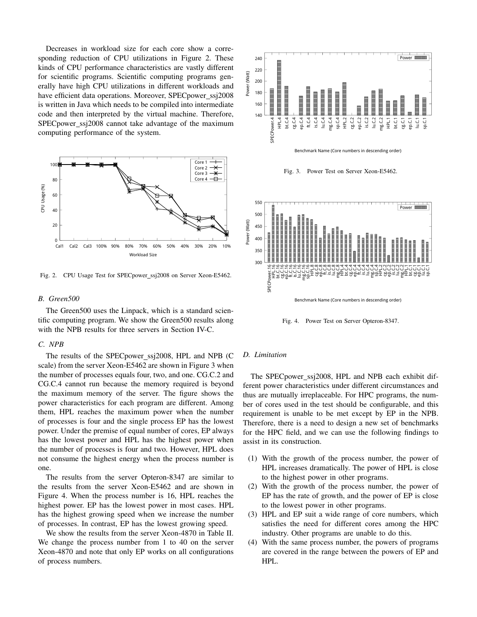Decreases in workload size for each core show a corresponding reduction of CPU utilizations in Figure 2. These kinds of CPU performance characteristics are vastly different for scientific programs. Scientific computing programs generally have high CPU utilizations in different workloads and have efficient data operations. Moreover, SPECpower\_ssj2008 is written in Java which needs to be compiled into intermediate code and then interpreted by the virtual machine. Therefore, SPECpower\_ssj2008 cannot take advantage of the maximum computing performance of the system.



Fig. 2. CPU Usage Test for SPECpower ssj2008 on Server Xeon-E5462.

#### *B. Green500*

The Green500 uses the Linpack, which is a standard scientific computing program. We show the Green500 results along with the NPB results for three servers in Section IV-C.

#### *C. NPB*

The results of the SPECpower\_ssj2008, HPL and NPB (C scale) from the server Xeon-E5462 are shown in Figure 3 when the number of processes equals four, two, and one. CG.C.2 and CG.C.4 cannot run because the memory required is beyond the maximum memory of the server. The figure shows the power characteristics for each program are different. Among them, HPL reaches the maximum power when the number of processes is four and the single process EP has the lowest power. Under the premise of equal number of cores, EP always has the lowest power and HPL has the highest power when the number of processes is four and two. However, HPL does not consume the highest energy when the process number is one.

The results from the server Opteron-8347 are similar to the results from the server Xeon-E5462 and are shown in Figure 4. When the process number is 16, HPL reaches the highest power. EP has the lowest power in most cases. HPL has the highest growing speed when we increase the number of processes. In contrast, EP has the lowest growing speed.

We show the results from the server Xeon-4870 in Table II. We change the process number from 1 to 40 on the server Xeon-4870 and note that only EP works on all configurations of process numbers.



Benchmark Name (Core numbers in descending order)

Fig. 3. Power Test on Server Xeon-E5462.



Fig. 4. Power Test on Server Opteron-8347.

# *D. Limitation*

The SPECpower\_ssj2008, HPL and NPB each exhibit different power characteristics under different circumstances and thus are mutually irreplaceable. For HPC programs, the number of cores used in the test should be configurable, and this requirement is unable to be met except by EP in the NPB. Therefore, there is a need to design a new set of benchmarks for the HPC field, and we can use the following findings to assist in its construction.

- (1) With the growth of the process number, the power of HPL increases dramatically. The power of HPL is close to the highest power in other programs.
- (2) With the growth of the process number, the power of EP has the rate of growth, and the power of EP is close to the lowest power in other programs.
- (3) HPL and EP suit a wide range of core numbers, which satisfies the need for different cores among the HPC industry. Other programs are unable to do this.
- (4) With the same process number, the powers of programs are covered in the range between the powers of EP and HPL.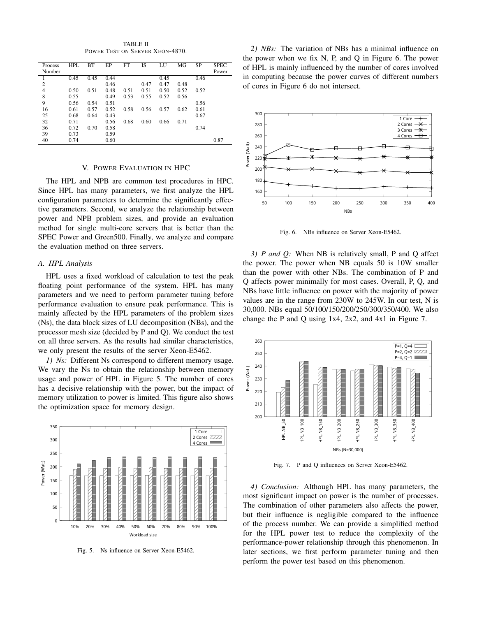TABLE II POWER TEST ON SERVER XEON-4870.

| Process        | <b>HPL</b> | <b>BT</b> | EP   | <b>FT</b> | <b>IS</b> | LU   | MG   | <b>SP</b> | <b>SPEC</b> |
|----------------|------------|-----------|------|-----------|-----------|------|------|-----------|-------------|
| Number         |            |           |      |           |           |      |      |           | Power       |
|                | 0.45       | 0.45      | 0.44 |           |           | 0.45 |      | 0.46      |             |
| $\overline{c}$ |            |           | 0.46 |           | 0.47      | 0.47 | 0.48 |           |             |
| $\overline{4}$ | 0.50       | 0.51      | 0.48 | 0.51      | 0.51      | 0.50 | 0.52 | 0.52      |             |
| 8              | 0.55       |           | 0.49 | 0.53      | 0.55      | 0.52 | 0.56 |           |             |
| 9              | 0.56       | 0.54      | 0.51 |           |           |      |      | 0.56      |             |
| 16             | 0.61       | 0.57      | 0.52 | 0.58      | 0.56      | 0.57 | 0.62 | 0.61      |             |
| 25             | 0.68       | 0.64      | 0.43 |           |           |      |      | 0.67      |             |
| 32             | 0.71       |           | 0.56 | 0.68      | 0.60      | 0.66 | 0.71 |           |             |
| 36             | 0.72       | 0.70      | 0.58 |           |           |      |      | 0.74      |             |
| 39             | 0.73       |           | 0.59 |           |           |      |      |           |             |
| 40             | 0.74       |           | 0.60 |           |           |      |      |           | 0.87        |

#### V. POWER EVALUATION IN HPC

The HPL and NPB are common test procedures in HPC. Since HPL has many parameters, we first analyze the HPL configuration parameters to determine the significantly effective parameters. Second, we analyze the relationship between power and NPB problem sizes, and provide an evaluation method for single multi-core servers that is better than the SPEC Power and Green500. Finally, we analyze and compare the evaluation method on three servers.

#### *A. HPL Analysis*

HPL uses a fixed workload of calculation to test the peak floating point performance of the system. HPL has many parameters and we need to perform parameter tuning before performance evaluation to ensure peak performance. This is mainly affected by the HPL parameters of the problem sizes (Ns), the data block sizes of LU decomposition (NBs), and the processor mesh size (decided by P and Q). We conduct the test on all three servers. As the results had similar characteristics, we only present the results of the server Xeon-E5462.

*1) Ns:* Different Ns correspond to different memory usage. We vary the Ns to obtain the relationship between memory usage and power of HPL in Figure 5. The number of cores has a decisive relationship with the power, but the impact of memory utilization to power is limited. This figure also shows the optimization space for memory design.



Fig. 5. Ns influence on Server Xeon-E5462.

*2) NBs:* The variation of NBs has a minimal influence on the power when we fix N, P, and Q in Figure 6. The power of HPL is mainly influenced by the number of cores involved in computing because the power curves of different numbers of cores in Figure 6 do not intersect.



Fig. 6. NBs influence on Server Xeon-E5462.

*3) P and Q:* When NB is relatively small, P and Q affect the power. The power when NB equals 50 is 10W smaller than the power with other NBs. The combination of P and Q affects power minimally for most cases. Overall, P, Q, and NBs have little influence on power with the majority of power values are in the range from 230W to 245W. In our test, N is 30,000. NBs equal 50/100/150/200/250/300/350/400. We also change the P and Q using 1x4, 2x2, and 4x1 in Figure 7.



Fig. 7. P and Q influences on Server Xeon-E5462.

*4) Conclusion:* Although HPL has many parameters, the most significant impact on power is the number of processes. The combination of other parameters also affects the power, but their influence is negligible compared to the influence of the process number. We can provide a simplified method for the HPL power test to reduce the complexity of the performance-power relationship through this phenomenon. In later sections, we first perform parameter tuning and then perform the power test based on this phenomenon.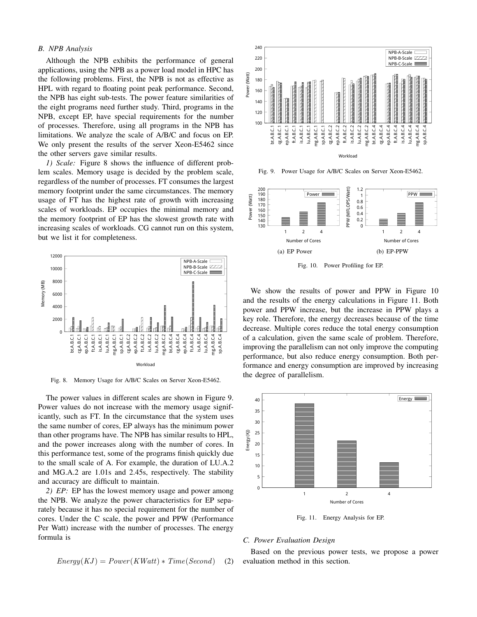# *B. NPB Analysis*

Although the NPB exhibits the performance of general applications, using the NPB as a power load model in HPC has the following problems. First, the NPB is not as effective as HPL with regard to floating point peak performance. Second, the NPB has eight sub-tests. The power feature similarities of the eight programs need further study. Third, programs in the NPB, except EP, have special requirements for the number of processes. Therefore, using all programs in the NPB has limitations. We analyze the scale of A/B/C and focus on EP. We only present the results of the server Xeon-E5462 since the other servers gave similar results.

*1) Scale:* Figure 8 shows the influence of different problem scales. Memory usage is decided by the problem scale, regardless of the number of processes. FT consumes the largest memory footprint under the same circumstances. The memory usage of FT has the highest rate of growth with increasing scales of workloads. EP occupies the minimal memory and the memory footprint of EP has the slowest growth rate with increasing scales of workloads. CG cannot run on this system, but we list it for completeness.



Fig. 8. Memory Usage for A/B/C Scales on Server Xeon-E5462.

The power values in different scales are shown in Figure 9. Power values do not increase with the memory usage significantly, such as FT. In the circumstance that the system uses the same number of cores, EP always has the minimum power than other programs have. The NPB has similar results to HPL, and the power increases along with the number of cores. In this performance test, some of the programs finish quickly due to the small scale of A. For example, the duration of LU.A.2 and MG.A.2 are 1.01s and 2.45s, respectively. The stability and accuracy are difficult to maintain.

*2) EP:* EP has the lowest memory usage and power among the NPB. We analyze the power characteristics for EP separately because it has no special requirement for the number of cores. Under the C scale, the power and PPW (Performance Per Watt) increase with the number of processes. The energy formula is

$$
Energy(KJ) = Power(KWatt) * Time(Second)
$$
 (2)



Fig. 9. Power Usage for A/B/C Scales on Server Xeon-E5462.



Fig. 10. Power Profiling for EP.

We show the results of power and PPW in Figure 10 and the results of the energy calculations in Figure 11. Both power and PPW increase, but the increase in PPW plays a key role. Therefore, the energy decreases because of the time decrease. Multiple cores reduce the total energy consumption of a calculation, given the same scale of problem. Therefore, improving the parallelism can not only improve the computing performance, but also reduce energy consumption. Both performance and energy consumption are improved by increasing the degree of parallelism.



Fig. 11. Energy Analysis for EP.

# *C. Power Evaluation Design*

Based on the previous power tests, we propose a power evaluation method in this section.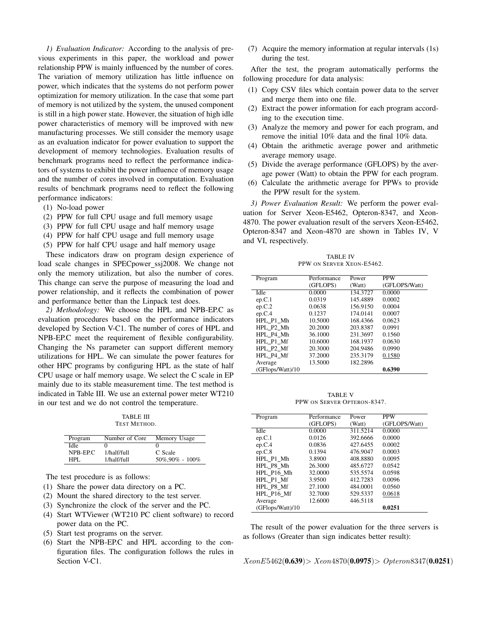*1) Evaluation Indicator:* According to the analysis of previous experiments in this paper, the workload and power relationship PPW is mainly influenced by the number of cores. The variation of memory utilization has little influence on power, which indicates that the systems do not perform power optimization for memory utilization. In the case that some part of memory is not utilized by the system, the unused component is still in a high power state. However, the situation of high idle power characteristics of memory will be improved with new manufacturing processes. We still consider the memory usage as an evaluation indicator for power evaluation to support the development of memory technologies. Evaluation results of benchmark programs need to reflect the performance indicators of systems to exhibit the power influence of memory usage and the number of cores involved in computation. Evaluation results of benchmark programs need to reflect the following performance indicators:

- (1) No-load power
- (2) PPW for full CPU usage and full memory usage
- (3) PPW for full CPU usage and half memory usage
- (4) PPW for half CPU usage and full memory usage
- (5) PPW for half CPU usage and half memory usage

These indicators draw on program design experience of load scale changes in SPECpower\_ssj2008. We change not only the memory utilization, but also the number of cores. This change can serve the purpose of measuring the load and power relationship, and it reflects the combination of power and performance better than the Linpack test does.

*2) Methodology:* We choose the HPL and NPB-EP.C as evaluation procedures based on the performance indicators developed by Section V-C1. The number of cores of HPL and NPB-EP.C meet the requirement of flexible configurability. Changing the Ns parameter can support different memory utilizations for HPL. We can simulate the power features for other HPC programs by configuring HPL as the state of half CPU usage or half memory usage. We select the C scale in EP mainly due to its stable measurement time. The test method is indicated in Table III. We use an external power meter WT210 in our test and we do not control the temperature.

TABLE III TEST METHOD.

| Program  | Number of Core | Memory Usage        |
|----------|----------------|---------------------|
| Idle     |                |                     |
| NPB-EP.C | 1/half/full    | C Scale             |
| HPL.     | 1/half/full    | $50\%$ , 90% - 100% |

The test procedure is as follows:

- (1) Share the power data directory on a PC.
- (2) Mount the shared directory to the test server.
- (3) Synchronize the clock of the server and the PC.
- (4) Start WTViewer (WT210 PC client software) to record power data on the PC.
- (5) Start test programs on the server.
- (6) Start the NPB-EP.C and HPL according to the configuration files. The configuration follows the rules in Section V-C1.

(7) Acquire the memory information at regular intervals (1s) during the test.

After the test, the program automatically performs the following procedure for data analysis:

- (1) Copy CSV files which contain power data to the server and merge them into one file.
- (2) Extract the power information for each program according to the execution time.
- (3) Analyze the memory and power for each program, and remove the initial 10% data and the final 10% data.
- (4) Obtain the arithmetic average power and arithmetic average memory usage.
- (5) Divide the average performance (GFLOPS) by the average power (Watt) to obtain the PPW for each program.
- (6) Calculate the arithmetic average for PPWs to provide the PPW result for the system.

*3) Power Evaluation Result:* We perform the power evaluation for Server Xeon-E5462, Opteron-8347, and Xeon-4870. The power evaluation result of the servers Xeon-E5462, Opteron-8347 and Xeon-4870 are shown in Tables IV, V and VI, respectively.

TABLE IV PPW ON SERVER XEON-E5462.

| Program          | Performance | Power    | <b>PPW</b>    |
|------------------|-------------|----------|---------------|
|                  | (GFLOPS)    | (Watt)   | (GFLOPS/Watt) |
| Idle             | 0.0000      | 134.3727 | 0.0000        |
| ep.C.1           | 0.0319      | 145.4889 | 0.0002        |
| ep.C.2           | 0.0638      | 156.9150 | 0.0004        |
| ep.C.4           | 0.1237      | 174.0141 | 0.0007        |
| HPL P1 Mh        | 10.5000     | 168.4366 | 0.0623        |
| HPL P2 Mh        | 20.2000     | 203.8387 | 0.0991        |
| HPL P4 Mh        | 36.1000     | 231.3697 | 0.1560        |
| HPL P1 Mf        | 10.6000     | 168.1937 | 0.0630        |
| HPL P2 Mf        | 20.3000     | 204.9486 | 0.0990        |
| HPL P4 Mf        | 37.2000     | 235.3179 | 0.1580        |
| Average          | 13.5000     | 182.2896 |               |
| (GFlops/Watt)/10 |             |          | 0.6390        |

TABLE V PPW ON SERVER OPTERON-8347.

|                  |             |          | <b>PPW</b>    |
|------------------|-------------|----------|---------------|
| Program          | Performance | Power    |               |
|                  | (GFLOPS)    | (Watt)   | (GFLOPS/Watt) |
| Idle             | 0.0000      | 311.5214 | 0.0000        |
| ep.C.1           | 0.0126      | 392.6666 | 0.0000        |
| ep.C.4           | 0.0836      | 427.6455 | 0.0002        |
| ep.C.8           | 0.1394      | 476.9047 | 0.0003        |
| HPL P1 Mh        | 3.8900      | 408.8880 | 0.0095        |
| HPL P8 Mh        | 26.3000     | 485.6727 | 0.0542        |
| HPL P16 Mh       | 32.0000     | 535.5574 | 0.0598        |
| HPL P1 Mf        | 3.9500      | 412.7283 | 0.0096        |
| HPL P8 Mf        | 27.1000     | 484.0001 | 0.0560        |
| HPL P16 Mf       | 32.7000     | 529.5337 | 0.0618        |
| Average          | 12.6000     | 446.5118 |               |
| (GFlops/Watt)/10 |             |          | 0.0251        |

The result of the power evaluation for the three servers is as follows (Greater than sign indicates better result):

 $XeonE5462(0.639) > Xeon4870(0.0975) > Opteron8347(0.0251)$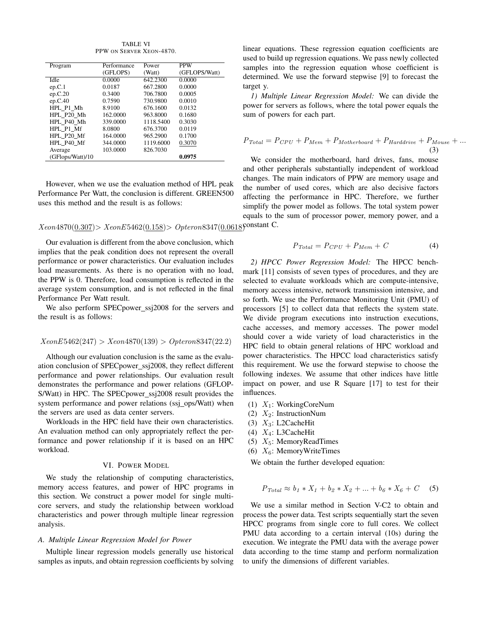TABLE VI PPW ON SERVER XEON-4870.

| Program          | Performance | Power     | <b>PPW</b>    |
|------------------|-------------|-----------|---------------|
|                  | (GFLOPS)    | (Watt)    | (GFLOPS/Watt) |
| Idle             | 0.0000      | 642.2300  | 0.0000        |
| ep.C.1           | 0.0187      | 667.2800  | 0.0000        |
| ep.C.20          | 0.3400      | 706.7800  | 0.0005        |
| ep.C.40          | 0.7590      | 730.9800  | 0.0010        |
| HPL P1 Mh        | 8.9100      | 676.1600  | 0.0132        |
| HPL P20 Mh       | 162,0000    | 963.8000  | 0.1680        |
| HPL P40 Mh       | 339,0000    | 1118.5400 | 0.3030        |
| HPL P1 Mf        | 8.0800      | 676.3700  | 0.0119        |
| HPL P20 Mf       | 164.0000    | 965.2900  | 0.1700        |
| HPL P40 Mf       | 344,0000    | 1119.6000 | 0.3070        |
| Average          | 103.0000    | 826.7030  |               |
| (GFlops/Watt)/10 |             |           | 0.0975        |

However, when we use the evaluation method of HPL peak Performance Per Watt, the conclusion is different. GREEN500 uses this method and the result is as follows:

# $Xeon 4870(0.307) > Xeon E5462(0.158) > Opteron 8347(0.0618)$ Constant C.

Our evaluation is different from the above conclusion, which implies that the peak condition does not represent the overall performance or power characteristics. Our evaluation includes load measurements. As there is no operation with no load, the PPW is 0. Therefore, load consumption is reflected in the average system consumption, and is not reflected in the final Performance Per Watt result.

We also perform SPECpower\_ssj2008 for the servers and the result is as follows:

$$
XeonE5462(247) > Xeon4870(139) > Opteron8347(22.2)
$$

Although our evaluation conclusion is the same as the evaluation conclusion of SPECpower\_ssj2008, they reflect different performance and power relationships. Our evaluation result demonstrates the performance and power relations (GFLOP-S/Watt) in HPC. The SPECpower\_ssj2008 result provides the system performance and power relations (ssj\_ops/Watt) when the servers are used as data center servers.

Workloads in the HPC field have their own characteristics. An evaluation method can only appropriately reflect the performance and power relationship if it is based on an HPC workload.

# VI. POWER MODEL

We study the relationship of computing characteristics, memory access features, and power of HPC programs in this section. We construct a power model for single multicore servers, and study the relationship between workload characteristics and power through multiple linear regression analysis.

# *A. Multiple Linear Regression Model for Power*

Multiple linear regression models generally use historical samples as inputs, and obtain regression coefficients by solving linear equations. These regression equation coefficients are used to build up regression equations. We pass newly collected samples into the regression equation whose coefficient is determined. We use the forward stepwise [9] to forecast the target y.

*1) Multiple Linear Regression Model:* We can divide the power for servers as follows, where the total power equals the sum of powers for each part.

$$
P_{Total} = P_{CPU} + P_{Mem} + P_{Motherboard} + P_{Harddrive} + P_{Mouse} + ...
$$
\n(3)

We consider the motherboard, hard drives, fans, mouse and other peripherals substantially independent of workload changes. The main indicators of PPW are memory usage and the number of used cores, which are also decisive factors affecting the performance in HPC. Therefore, we further simplify the power model as follows. The total system power equals to the sum of processor power, memory power, and a

$$
P_{Total} = P_{CPU} + P_{Mem} + C \tag{4}
$$

*2) HPCC Power Regression Model:* The HPCC benchmark [11] consists of seven types of procedures, and they are selected to evaluate workloads which are compute-intensive, memory access intensive, network transmission intensive, and so forth. We use the Performance Monitoring Unit (PMU) of processors [5] to collect data that reflects the system state. We divide program executions into instruction executions, cache accesses, and memory accesses. The power model should cover a wide variety of load characteristics in the HPC field to obtain general relations of HPC workload and power characteristics. The HPCC load characteristics satisfy this requirement. We use the forward stepwise to choose the following indexes. We assume that other indices have little impact on power, and use R Square [17] to test for their influences.

- (1)  $X_1$ : WorkingCoreNum
- (2)  $X_2$ : InstructionNum
- (3)  $X_3$ : L2CacheHit
- (4)  $X_4$ : L3CacheHit
- (5)  $X_5$ : MemoryReadTimes
- (6)  $X_6$ : MemoryWriteTimes

We obtain the further developed equation:

$$
P_{Total} \approx b_1 * X_1 + b_2 * X_2 + \dots + b_6 * X_6 + C \quad (5)
$$

We use a similar method in Section V-C2 to obtain and process the power data. Test scripts sequentially start the seven HPCC programs from single core to full cores. We collect PMU data according to a certain interval (10s) during the execution. We integrate the PMU data with the average power data according to the time stamp and perform normalization to unify the dimensions of different variables.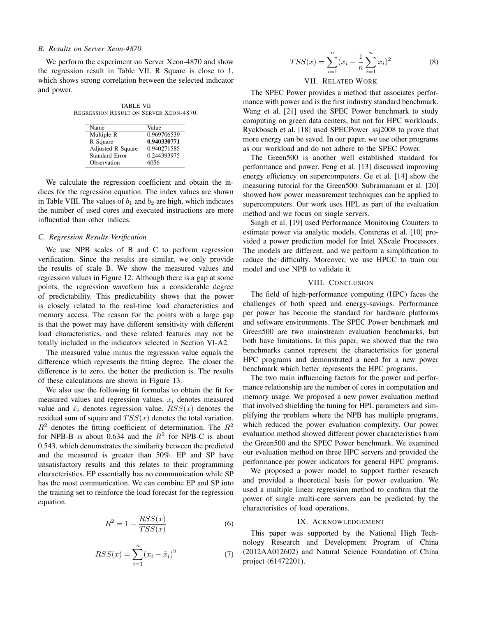#### *B. Results on Server Xeon-4870*

We perform the experiment on Server Xeon-4870 and show the regression result in Table VII. R Square is close to 1, which shows strong correlation between the selected indicator and power.

TABLE VII REGRESSION RESULT ON SERVER XEON-4870.

| Name                  | Value       |
|-----------------------|-------------|
| Multiple R            | 0.969706539 |
| R Square              | 0.940330771 |
| Adjusted R Square     | 0.940271585 |
| <b>Standard Error</b> | 0.244393975 |
| Observation           | 6056        |

We calculate the regression coefficient and obtain the indices for the regression equation. The index values are shown in Table VIII. The values of  $b_1$  and  $b_2$  are high, which indicates the number of used cores and executed instructions are more influential than other indices.

# *C. Regression Results Verification*

We use NPB scales of B and C to perform regression verification. Since the results are similar, we only provide the results of scale B. We show the measured values and regression values in Figure 12. Although there is a gap at some points, the regression waveform has a considerable degree of predictability. This predictability shows that the power is closely related to the real-time load characteristics and memory access. The reason for the points with a large gap is that the power may have different sensitivity with different load characteristics, and these related features may not be totally included in the indicators selected in Section VI-A2.

The measured value minus the regression value equals the difference which represents the fitting degree. The closer the difference is to zero, the better the prediction is. The results of these calculations are shown in Figure 13.

We also use the following fit formulas to obtain the fit for measured values and regression values.  $x_i$  denotes measured value and  $\tilde{x}_i$  denotes regression value.  $RSS(x)$  denotes the residual sum of square and  $TSS(x)$  denotes the total variation.  $R^2$  denotes the fitting coefficient of determination. The  $R^2$ for NPB-B is about 0.634 and the  $R^2$  for NPB-C is about 0.543, which demonstrates the similarity between the predicted and the measured is greater than 50%. EP and SP have unsatisfactory results and this relates to their programming characteristics. EP essentially has no communication while SP has the most communication. We can combine EP and SP into the training set to reinforce the load forecast for the regression equation.

$$
R^2 = 1 - \frac{RSS(x)}{TSS(x)}\tag{6}
$$

$$
RSS(x) = \sum_{i=1}^{n} (x_i - \tilde{x}_i)^2
$$
 (7)

$$
TSS(x) = \sum_{i=1}^{n} (x_i - \frac{1}{n} \sum_{i=1}^{n} x_i)^2
$$
(8)

#### VII. RELATED WORK

The SPEC Power provides a method that associates performance with power and is the first industry standard benchmark. Wang et al. [21] used the SPEC Power benchmark to study computing on green data centers, but not for HPC workloads. Ryckbosch et al. [18] used SPECPower\_ssj2008 to prove that more energy can be saved. In our paper, we use other programs as our workload and do not adhere to the SPEC Power.

The Green500 is another well established standard for performance and power. Feng et al. [13] discussed improving energy efficiency on supercomputers. Ge et al. [14] show the measuring tutorial for the Green500. Subramaniam et al. [20] showed how power measurement techniques can be applied to supercomputers. Our work uses HPL as part of the evaluation method and we focus on single servers.

Singh et al. [19] used Performance Monitoring Counters to estimate power via analytic models. Contreras et al. [10] provided a power prediction model for Intel XScale Processors. The models are different, and we perform a simplification to reduce the difficulty. Moreover, we use HPCC to train our model and use NPB to validate it.

# VIII. CONCLUSION

The field of high-performance computing (HPC) faces the challenges of both speed and energy-savings. Performance per power has become the standard for hardware platforms and software environments. The SPEC Power benchmark and Green500 are two mainstream evaluation benchmarks, but both have limitations. In this paper, we showed that the two benchmarks cannot represent the characteristics for general HPC programs and demonstrated a need for a new power benchmark which better represents the HPC programs.

The two main influencing factors for the power and performance relationship are the number of cores in computation and memory usage. We proposed a new power evaluation method that involved shielding the tuning for HPL parameters and simplifying the problem where the NPB has multiple programs, which reduced the power evaluation complexity. Our power evaluation method showed different power characteristics from the Green500 and the SPEC Power benchmark. We examined our evaluation method on three HPC servers and provided the performance per power indicators for general HPC programs.

We proposed a power model to support further research and provided a theoretical basis for power evaluation. We used a multiple linear regression method to confirm that the power of single multi-core servers can be predicted by the characteristics of load operations.

#### IX. ACKNOWLEDGEMENT

This paper was supported by the National High Technology Research and Development Program of China (2012AA012602) and Natural Science Foundation of China project (61472201).